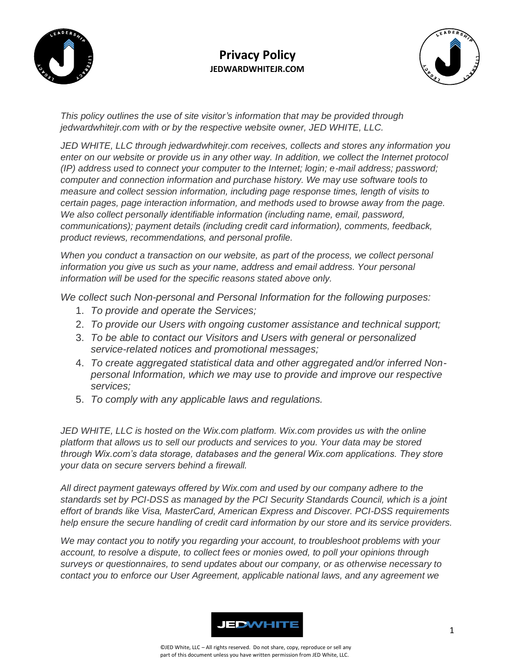



*This policy outlines the use of site visitor's information that may be provided through jedwardwhitejr.com with or by the respective website owner, JED WHITE, LLC.* 

*JED WHITE, LLC through jedwardwhitejr.com receives, collects and stores any information you enter on our website or provide us in any other way. In addition, we collect the Internet protocol (IP) address used to connect your computer to the Internet; login; e-mail address; password; computer and connection information and purchase history. We may use software tools to measure and collect session information, including page response times, length of visits to certain pages, page interaction information, and methods used to browse away from the page. We also collect personally identifiable information (including name, email, password, communications); payment details (including credit card information), comments, feedback, product reviews, recommendations, and personal profile.*

*When you conduct a transaction on our website, as part of the process, we collect personal information you give us such as your name, address and email address. Your personal information will be used for the specific reasons stated above only.*

*We collect such Non-personal and Personal Information for the following purposes:*

- 1. *To provide and operate the Services;*
- 2. *To provide our Users with ongoing customer assistance and technical support;*
- 3. *To be able to contact our Visitors and Users with general or personalized service-related notices and promotional messages;*
- 4. *To create aggregated statistical data and other aggregated and/or inferred Nonpersonal Information, which we may use to provide and improve our respective services;*
- 5. *To comply with any applicable laws and regulations.*

*JED WHITE, LLC is hosted on the Wix.com platform. Wix.com provides us with the online platform that allows us to sell our products and services to you. Your data may be stored through Wix.com's data storage, databases and the general Wix.com applications. They store your data on secure servers behind a firewall.*

*All direct payment gateways offered by Wix.com and used by our company adhere to the standards set by PCI-DSS as managed by the PCI Security Standards Council, which is a joint effort of brands like Visa, MasterCard, American Express and Discover. PCI-DSS requirements help ensure the secure handling of credit card information by our store and its service providers.*

*We may contact you to notify you regarding your account, to troubleshoot problems with your account, to resolve a dispute, to collect fees or monies owed, to poll your opinions through surveys or questionnaires, to send updates about our company, or as otherwise necessary to contact you to enforce our User Agreement, applicable national laws, and any agreement we*